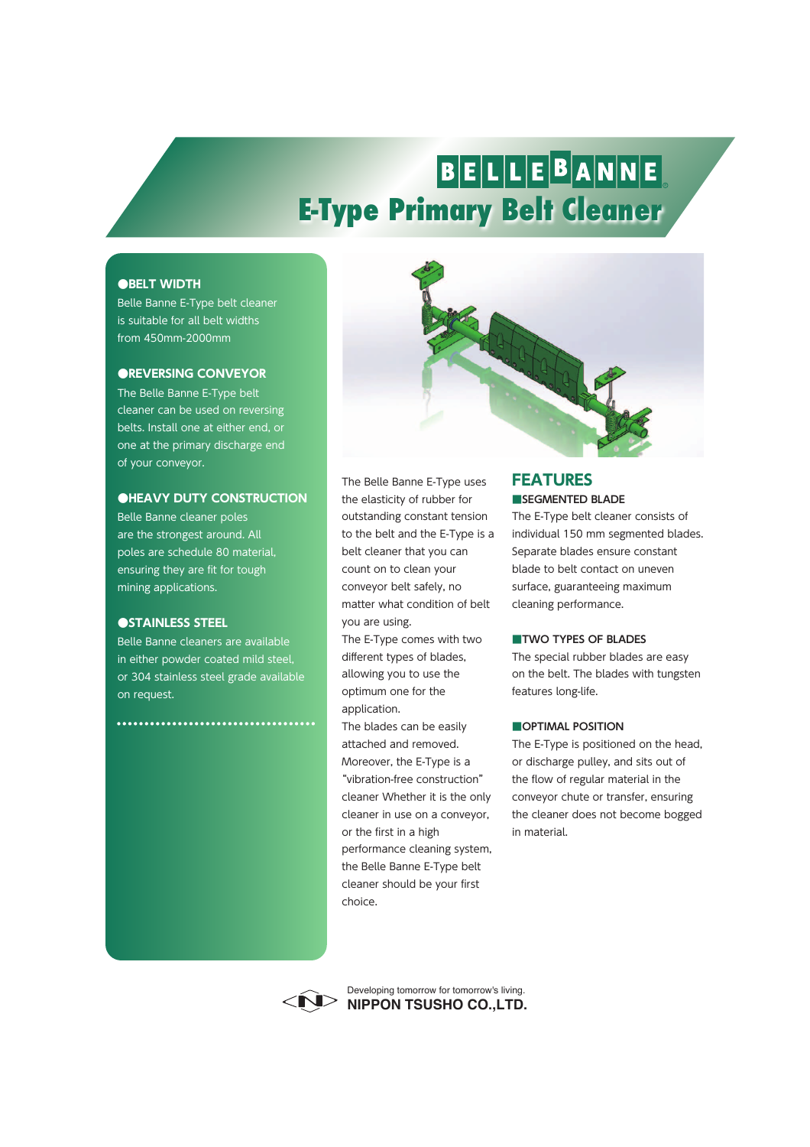# BELLEBANNE **E-Type Primary Belt Cleaner**

### **●BELT WIDTH**

Belle Banne E-Type belt cleaner is suitable for all belt widths from 450mm-2000mm

### **●REVERSING CONVEYOR**

The Belle Banne E-Type belt cleaner can be used on reversing belts. Install one at either end, or one at the primary discharge end of your conveyor.

## **●HEAVY DUTY CONSTRUCTION**

Belle Banne cleaner poles are the strongest around. All poles are schedule 80 material, ensuring they are fit for tough mining applications.

#### **●STAINLESS STEEL**

Belle Banne cleaners are available in either powder coated mild steel, or 304 stainless steel grade available on request.

\*\*\*\*\*\*\*\*\*\*\*\*\*\*\*\*\*\*\*\*\*\*\*\*\*\*\*\*\*\*\*\*\*\*\*



The Belle Banne E-Type uses the elasticity of rubber for outstanding constant tension to the belt and the E-Type is a belt cleaner that you can count on to clean your conveyor belt safely, no matter what condition of belt you are using.

The E-Type comes with two different types of blades, allowing you to use the optimum one for the application.

The blades can be easily attached and removed. Moreover, the E-Type is a "vibration-free construction" cleaner Whether it is the only cleaner in use on a conveyor, or the first in a high performance cleaning system, the Belle Banne E-Type belt cleaner should be your first choice.

# **■SEGMENTED BLADE FEATURES**

The E-Type belt cleaner consists of individual 150 mm segmented blades. Separate blades ensure constant blade to belt contact on uneven surface, guaranteeing maximum cleaning performance.

#### **■TWO TYPES OF BLADES**

The special rubber blades are easy on the belt. The blades with tungsten features long-life.

#### **■OPTIMAL POSITION**

The E-Type is positioned on the head, or discharge pulley, and sits out of the flow of regular material in the conveyor chute or transfer, ensuring the cleaner does not become bogged in material.



**NIPPON TSUSHO CO.,LTD.** Developing tomorrow for tomorrow's living.